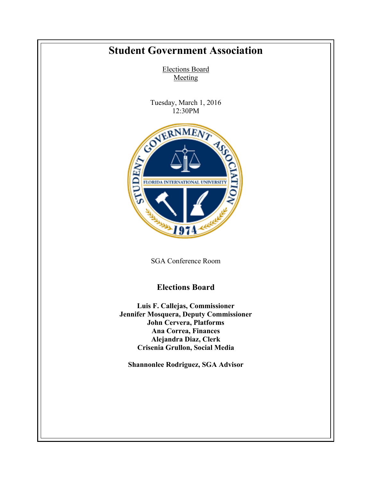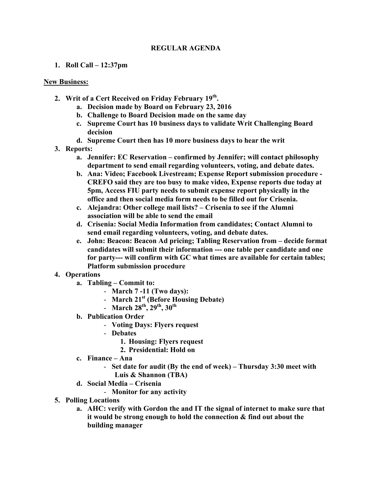## **REGULAR AGENDA**

**1. Roll Call – 12:37pm**

## **New Business:**

- **2. Writ of a Cert Received on Friday February 19th.**
	- **a. Decision made by Board on February 23, 2016**
	- **b. Challenge to Board Decision made on the same day**
	- **c. Supreme Court has 10 business days to validate Writ Challenging Board decision**
	- **d. Supreme Court then has 10 more business days to hear the writ**
- **3. Reports:**
	- **a. Jennifer: EC Reservation – confirmed by Jennifer; will contact philosophy department to send email regarding volunteers, voting, and debate dates.**
	- **b. Ana: Video; Facebook Livestream; Expense Report submission procedure - CREFO said they are too busy to make video, Expense reports due today at 5pm, Access FIU party needs to submit expense report physically in the office and then social media form needs to be filled out for Crisenia.**
	- **c. Alejandra: Other college mail lists? – Crisenia to see if the Alumni association will be able to send the email**
	- **d. Crisenia: Social Media Information from candidates; Contact Alumni to send email regarding volunteers, voting, and debate dates.**
	- **e. John: Beacon: Beacon Ad pricing; Tabling Reservation from – decide format candidates will submit their information --- one table per candidate and one for party--- will confirm with GC what times are available for certain tables; Platform submission procedure**
- **4. Operations**
	- **a. Tabling – Commit to:**
		- **March 7 -11 (Two days):**
		- **March 21st (Before Housing Debate)**
		- **March 28th, 29th, 30th**
	- **b. Publication Order**
		- **Voting Days: Flyers request**
		- **Debates**
			- **1. Housing: Flyers request**
			- **2. Presidential: Hold on**
	- **c. Finance – Ana**
		- **Set date for audit (By the end of week) – Thursday 3:30 meet with Luis & Shannon (TBA)**
	- **d. Social Media – Crisenia**
		- **Monitor for any activity**
- **5. Polling Locations**
	- **a. AHC: verify with Gordon the and IT the signal of internet to make sure that it would be strong enough to hold the connection & find out about the building manager**